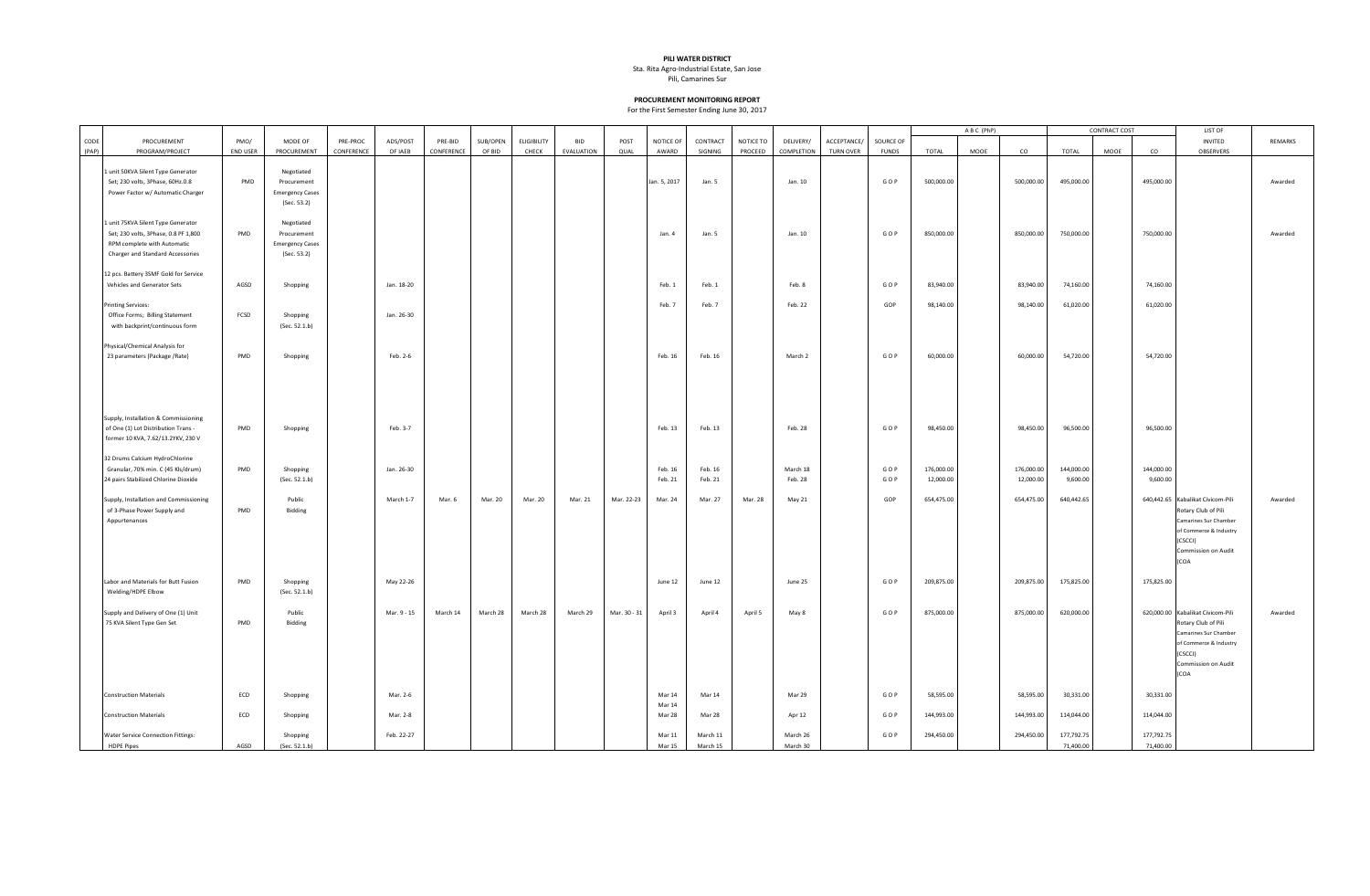## **PILI WATER DISTRICT**

Sta. Rita Agro-Industrial Estate, San Jose

Pili, Camarines Sur

## **PROCUREMENT MONITORING REPORT**

For the First Semester Ending June 30, 2017

|               |                                                                                                                                               |                         |                                                                    |                        |                     |                       |                    |                             |                          |              |                    |                      |                      |                         |                                 |                           | ABC (PhP)               |      |                         | CONTRACT COST           |      | LIST OF                 |                                                                                                                                                       |         |
|---------------|-----------------------------------------------------------------------------------------------------------------------------------------------|-------------------------|--------------------------------------------------------------------|------------------------|---------------------|-----------------------|--------------------|-----------------------------|--------------------------|--------------|--------------------|----------------------|----------------------|-------------------------|---------------------------------|---------------------------|-------------------------|------|-------------------------|-------------------------|------|-------------------------|-------------------------------------------------------------------------------------------------------------------------------------------------------|---------|
| CODE<br>(PAP) | PROCUREMENT<br>PROGRAM/PROJECT                                                                                                                | PMO/<br><b>END USER</b> | MODE OF<br>PROCUREMENT                                             | PRE-PROC<br>CONFERENCE | ADS/POST<br>OF IAEB | PRE-BID<br>CONFERENCE | SUB/OPEN<br>OF BID | <b>ELIGIBILITY</b><br>CHECK | <b>BID</b><br>EVALUATION | POST<br>QUAL | NOTICE OF<br>AWARD | CONTRACT<br>SIGNING  | NOTICE TO<br>PROCEED | DELIVERY/<br>COMPLETION | ACCEPTANCE/<br><b>TURN OVER</b> | SOURCE OF<br><b>FUNDS</b> | TOTAL                   | MOOE | co                      | TOTAL                   | MOOE | co                      | INVITED<br>OBSERVERS                                                                                                                                  | REMARKS |
|               | 1 unit 50KVA Silent Type Generator<br>Set; 230 volts, 3Phase, 60Hz.0.8<br>Power Factor w/ Automatic Charger                                   | PMD                     | Negotiated<br>Procurement<br><b>Emergency Cases</b><br>(Sec. 53.2) |                        |                     |                       |                    |                             |                          |              | Jan. 5, 2017       | Jan. 5               |                      | Jan. 10                 |                                 | GOP                       | 500,000.00              |      | 500,000.00              | 495,000.00              |      | 495,000.00              |                                                                                                                                                       | Awarded |
|               | 1 unit 75KVA Silent Type Generator<br>Set; 230 volts, 3Phase, 0.8 PF 1,800<br>RPM complete with Automatic<br>Charger and Standard Accessories | PMD                     | Negotiated<br>Procurement<br><b>Emergency Cases</b><br>(Sec. 53.2) |                        |                     |                       |                    |                             |                          |              | Jan. 4             | Jan. 5               |                      | Jan. 10                 |                                 | GOP                       | 850,000.00              |      | 850,000.00              | 750,000.00              |      | 750,000.00              |                                                                                                                                                       | Awarded |
|               | 12 pcs. Battery 3SMF Gold for Service<br>Vehicles and Generator Sets                                                                          | AGSD                    | Shopping                                                           |                        | Jan. 18-20          |                       |                    |                             |                          |              | Feb. 1             | Feb. 1               |                      | Feb. 8                  |                                 | GOP                       | 83,940.00               |      | 83,940.00               | 74,160.00               |      | 74,160.00               |                                                                                                                                                       |         |
|               | <b>Printing Services:</b><br>Office Forms; Billing Statement<br>with backprint/continuous form                                                | FCSD                    | Shopping<br>(Sec. 52.1.b)                                          |                        | Jan. 26-30          |                       |                    |                             |                          |              | Feb. 7             | Feb. 7               |                      | Feb. 22                 |                                 | GOP                       | 98,140.00               |      | 98,140.00               | 61,020.00               |      | 61,020.00               |                                                                                                                                                       |         |
|               | Physical/Chemical Analysis for<br>23 parameters (Package /Rate)                                                                               | PMD                     | Shopping                                                           |                        | Feb. 2-6            |                       |                    |                             |                          |              | Feb. 16            | Feb. 16              |                      | March 2                 |                                 | GOP                       | 60,000.00               |      | 60,000.00               | 54,720.00               |      | 54,720.00               |                                                                                                                                                       |         |
|               | Supply, Installation & Commissioning<br>of One (1) Lot Distribution Trans -<br>former 10 KVA, 7.62/13.2YKV, 230 V                             | PMD                     | Shopping                                                           |                        | Feb. 3-7            |                       |                    |                             |                          |              | Feb. 13            | Feb. 13              |                      | Feb. 28                 |                                 | GOP                       | 98,450.00               |      | 98,450.00               | 96,500.00               |      | 96,500.00               |                                                                                                                                                       |         |
|               | 32 Drums Calcium HydroChlorine<br>Granular, 70% min. C (45 Kls/drum)<br>24 pairs Stabilized Chlorine Dioxide                                  | PMD                     | Shopping<br>(Sec. 52.1.b)                                          |                        | Jan. 26-30          |                       |                    |                             |                          |              | Feb. 16<br>Feb. 21 | Feb. 16<br>Feb. 21   |                      | March 18<br>Feb. 28     |                                 | GOP<br>GOP                | 176,000.00<br>12,000.00 |      | 176,000.00<br>12,000.00 | 144,000.00<br>9,600.00  |      | 144,000.00<br>9,600.00  |                                                                                                                                                       |         |
|               | Supply, Installation and Commissioning<br>of 3-Phase Power Supply and<br>Appurtenances                                                        | PMD                     | Public<br>Bidding                                                  |                        | March 1-7           | Mar. 6                | Mar. 20            | Mar. 20                     | Mar. 21                  | Mar. 22-23   | Mar. 24            | Mar. 27              | Mar. 28              | May 21                  |                                 | GOP                       | 654,475.00              |      | 654,475.00              | 640,442.65              |      |                         | 640,442.65 Kabalikat Civicom-Pili<br>Rotary Club of Pili<br>Camarines Sur Chamber<br>of Commerce & Industry<br>(CSCCI)<br>Commission on Audit<br>(COA | Awarded |
|               | Labor and Materials for Butt Fusion<br>Welding/HDPE Elbow                                                                                     | PMD                     | Shopping<br>(Sec. 52.1.b)                                          |                        | May 22-26           |                       |                    |                             |                          |              | June 12            | June 12              |                      | June 25                 |                                 | GOP                       | 209,875.00              |      | 209,875.00              | 175,825.00              |      | 175,825.00              |                                                                                                                                                       |         |
|               | Supply and Delivery of One (1) Unit<br>75 KVA Silent Type Gen Set                                                                             | PMD                     | Public<br>Bidding                                                  |                        | Mar. 9 - 15         | March 14              | March 28           | March 28                    | March 29                 | Mar. 30 - 31 | April 3            | April 4              | April 5              | May 8                   |                                 | GOP                       | 875,000.00              |      | 875,000.00              | 620,000.00              |      |                         | 620,000.00 Kabalikat Civicom-Pili<br>Rotary Club of Pili<br>Camarines Sur Chamber<br>of Commerce & Industry<br>(CSCCI)<br>Commission on Audit<br>(COA | Awarded |
|               | <b>Construction Materials</b>                                                                                                                 | ECD                     | Shopping                                                           |                        | Mar. 2-6            |                       |                    |                             |                          |              | Mar 14<br>Mar 14   | Mar 14               |                      | Mar 29                  |                                 | GOP                       | 58,595.00               |      | 58,595.00               | 30,331.00               |      | 30,331.00               |                                                                                                                                                       |         |
|               | <b>Construction Materials</b>                                                                                                                 | ECD                     | Shopping                                                           |                        | Mar. 2-8            |                       |                    |                             |                          |              | Mar 28             | Mar 28               |                      | Apr 12                  |                                 | GOP                       | 144,993.00              |      | 144,993.00              | 114,044.00              |      | 114,044.00              |                                                                                                                                                       |         |
|               | <b>Water Service Connection Fittings:</b><br><b>HDPE Pipes</b>                                                                                | AGSD                    | Shopping<br>(Sec. 52.1.b)                                          |                        | Feb. 22-27          |                       |                    |                             |                          |              | Mar 11<br>Mar 15   | March 11<br>March 15 |                      | March 26<br>March 30    |                                 | GOP                       | 294,450.00              |      | 294,450.00              | 177,792.75<br>71,400.00 |      | 177,792.75<br>71,400.00 |                                                                                                                                                       |         |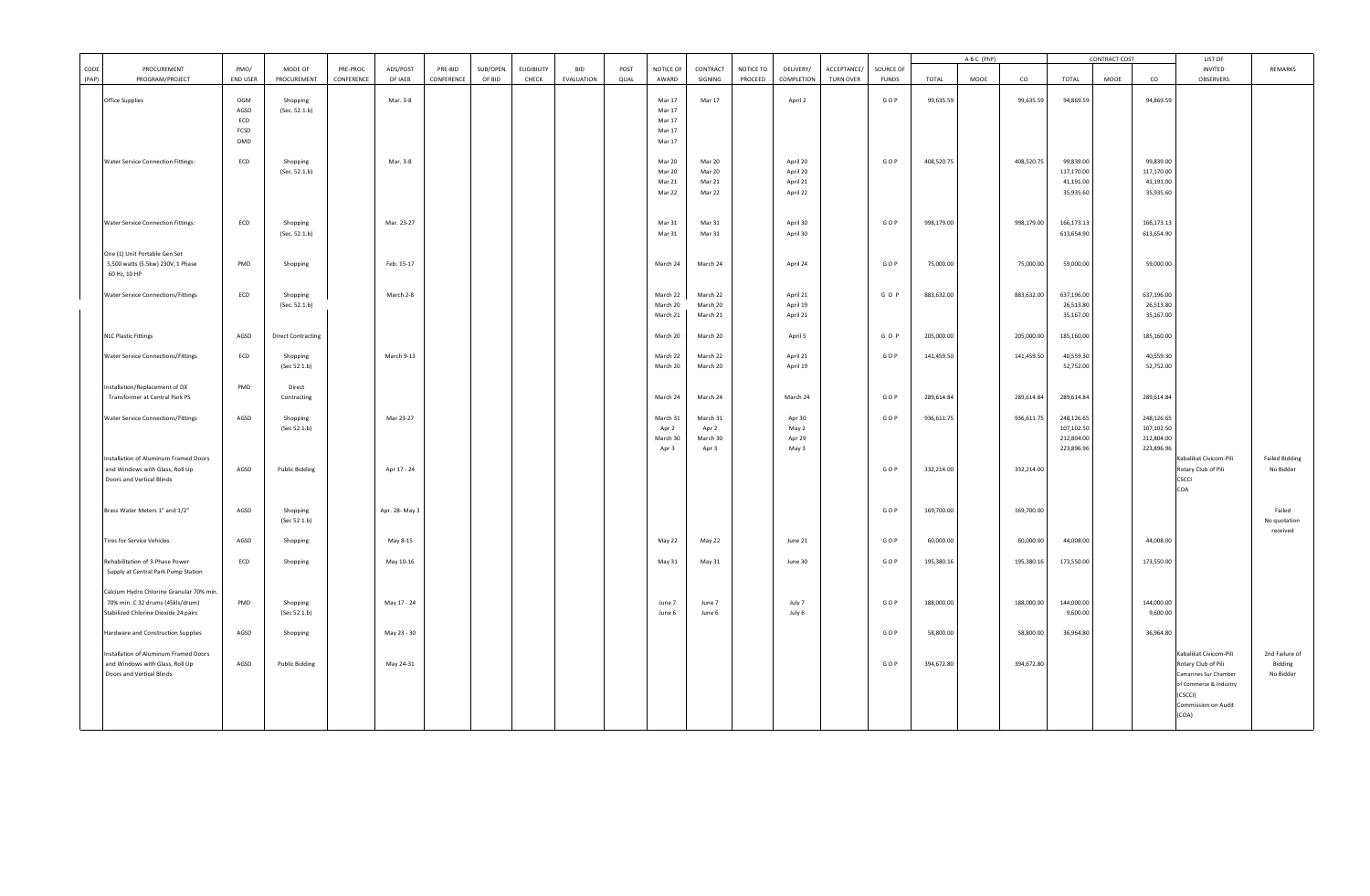|               |                                                                                                                      |                                   |                           |                        |                     |                       |                    |                             |                          |              |                                                |                                        |                      |                                              |                                 |                           | ABC (PhP)  |      |            | <b>CONTRACT COST</b>                                 |      | LIST OF                                              |                                                                                                             |                                        |
|---------------|----------------------------------------------------------------------------------------------------------------------|-----------------------------------|---------------------------|------------------------|---------------------|-----------------------|--------------------|-----------------------------|--------------------------|--------------|------------------------------------------------|----------------------------------------|----------------------|----------------------------------------------|---------------------------------|---------------------------|------------|------|------------|------------------------------------------------------|------|------------------------------------------------------|-------------------------------------------------------------------------------------------------------------|----------------------------------------|
| CODE<br>(PAP) | PROCUREMENT<br>PROGRAM/PROJECT                                                                                       | PMO/<br>END USER                  | MODE OF<br>PROCUREMENT    | PRE-PROC<br>CONFERENCE | ADS/POST<br>OF IAEB | PRE-BID<br>CONFERENCE | SUB/OPEN<br>OF BID | <b>ELIGIBILITY</b><br>CHECK | <b>BID</b><br>EVALUATION | POST<br>QUAL | NOTICE OF<br>AWARD                             | CONTRACT<br>SIGNING                    | NOTICE TO<br>PROCEED | DELIVERY/<br>COMPLETION                      | ACCEPTANCE/<br><b>TURN OVER</b> | SOURCE OF<br><b>FUNDS</b> | TOTAL      | MOOE | co         | TOTAL                                                | MOOE | co                                                   | INVITED<br>OBSERVERS                                                                                        | REMARKS                                |
|               | Office Supplies                                                                                                      | OGM<br>AGSD<br>ECD<br>FCSD<br>OMD | Shopping<br>(Sec. 52.1.b) |                        | Mar. 3-8            |                       |                    |                             |                          |              | Mar 17<br>Mar 17<br>Mar 17<br>Mar 17<br>Mar 17 | Mar 17                                 |                      | April 2                                      |                                 | GOP                       | 99,635.59  |      | 99,635.59  | 94,869.59                                            |      | 94,869.59                                            |                                                                                                             |                                        |
|               | Water Service Connection Fittings:                                                                                   | ECD                               | Shopping<br>(Sec. 52.1.b) |                        | Mar. 3-8            |                       |                    |                             |                          |              | Mar 20<br>Mar 20<br>Mar 21<br>Mar 22           | Mar 20<br>Mar 20<br>Mar 21<br>Mar 22   |                      | April 20<br>April 20<br>April 21<br>April 22 |                                 | GOP                       | 408,520.75 |      | 408,520.75 | 99,839.00<br>117,170.00<br>41,191.00<br>35,935.60    |      | 99,839.00<br>117,170.00<br>41,191.00<br>35,935.60    |                                                                                                             |                                        |
|               | <b>Water Service Connection Fittings:</b>                                                                            | ECD                               | Shopping<br>(Sec. 52.1.b) |                        | Mar. 23-27          |                       |                    |                             |                          |              | Mar 31<br>Mar 31                               | Mar 31<br>Mar 31                       |                      | April 30<br>April 30                         |                                 | GOP                       | 998,179.00 |      | 998,179.00 | 166,173.13<br>613,654.90                             |      | 166,173.13<br>613,654.90                             |                                                                                                             |                                        |
|               | One (1) Unit Portable Gen Set<br>5,500 watts (5.5kw) 230V, 1 Phase<br>60 Hz, 10 HP                                   | PMD                               | Shopping                  |                        | Feb. 15-17          |                       |                    |                             |                          |              | March 24                                       | March 24                               |                      | April 24                                     |                                 | GOP                       | 75,000.00  |      | 75,000.00  | 59,000.00                                            |      | 59,000.00                                            |                                                                                                             |                                        |
|               | Water Service Connections/Fittings                                                                                   | ECD                               | Shopping<br>(Sec. 52.1.b) |                        | March 2-8           |                       |                    |                             |                          |              | March 22<br>March 20<br>March 21               | March 22<br>March 20<br>March 21       |                      | April 21<br>April 19<br>April 21             |                                 | GOP                       | 883,632.00 |      | 883,632.00 | 637,196.00<br>26,513.80<br>35,167.00                 |      | 637,196.00<br>26,513.80<br>35,167.00                 |                                                                                                             |                                        |
|               | <b>NLC Plastic Fittings</b>                                                                                          | AGSD                              | <b>Direct Contracting</b> |                        |                     |                       |                    |                             |                          |              | March 20                                       | March 20                               |                      | April 5                                      |                                 | GOP                       | 205,000.00 |      | 205,000.00 | 185,160.00                                           |      | 185,160.00                                           |                                                                                                             |                                        |
|               | <b>Water Service Connections/Fittings</b>                                                                            | ECD                               | Shopping<br>(Sec 52.1.b)  |                        | March 9-13          |                       |                    |                             |                          |              | March 22<br>March 20                           | March 22<br>March 20                   |                      | April 21<br>April 19                         |                                 | GOP                       | 141,459.50 |      | 141,459.50 | 40,559.30<br>52,752.00                               |      | 40,559.30<br>52,752.00                               |                                                                                                             |                                        |
|               | Installation/Replacement of DX<br>Transformer at Central Park PS                                                     | <b>PMD</b>                        | Direct<br>Contracting     |                        |                     |                       |                    |                             |                          |              | March 24                                       | March 24                               |                      | March 24                                     |                                 | GOP                       | 289,614.84 |      | 289,614.84 | 289,614.84                                           |      | 289,614.84                                           |                                                                                                             |                                        |
|               | <b>Water Service Connections/Fittings</b>                                                                            | AGSD                              | Shopping<br>(Sec 52.1.b)  |                        | Mar 23-27           |                       |                    |                             |                          |              | March 31<br>Apr 2<br>March 30<br>Apr 3         | March 31<br>Apr 2<br>March 30<br>Apr 3 |                      | Apr 30<br>May 2<br>Apr 29<br>May 3           |                                 | GOP                       | 936,611.75 |      | 936,611.75 | 248,126.65<br>107,102.50<br>212,804.00<br>223,896.96 |      | 248,126.65<br>107,102.50<br>212,804.00<br>223,896.96 |                                                                                                             |                                        |
|               | nstallation of Aluminum Framed Doors<br>and Windows with Glass, Roll Up<br>Doors and Vertical Blinds                 | AGSD                              | <b>Public Bidding</b>     |                        | Apr 17 - 24         |                       |                    |                             |                          |              |                                                |                                        |                      |                                              |                                 | GOP                       | 332,214.00 |      | 332,214.00 |                                                      |      |                                                      | Kabalikat Civicom-Pili<br>Rotary Club of Pili<br>CSCCI<br>COA                                               | <b>Failed Bidding</b><br>No Bidder     |
|               | Brass Water Meters 1" and 1/2"                                                                                       | AGSD                              | Shopping<br>(Sec 52.1.b)  |                        | Apr. 28- May 3      |                       |                    |                             |                          |              |                                                |                                        |                      |                                              |                                 | GOP                       | 169,700.00 |      | 169,700.00 |                                                      |      |                                                      |                                                                                                             | Failed<br>No quotation<br>received     |
|               | <b>Tires for Service Vehicles</b>                                                                                    | AGSD                              | Shopping                  |                        | May 8-15            |                       |                    |                             |                          |              | May 22                                         | May 22                                 |                      | June 21                                      |                                 | GOP                       | 60,000.00  |      | 60,000.00  | 44,008.00                                            |      | 44,008.00                                            |                                                                                                             |                                        |
|               | Rehabilitation of 3-Phase Power<br>Supply at Central Park Pump Station                                               | ECD                               | Shopping                  |                        | May 10-16           |                       |                    |                             |                          |              | May 31                                         | May 31                                 |                      | June 30                                      |                                 | GOP                       | 195,380.16 |      | 195,380.16 | 173,550.00                                           |      | 173,550.00                                           |                                                                                                             |                                        |
|               | Calcium Hydro Chlorine Granular 70% min.<br>70% min. C 32 drums (45kls/drum)<br>Stabilized Chlorine Dioxide 24 pairs | PMD                               | Shopping<br>(Sec 52.1.b)  |                        | May 17 - 24         |                       |                    |                             |                          |              | June 7<br>June 6                               | June 7<br>June 6                       |                      | July 7<br>July 6                             |                                 | GOP                       | 188,000.00 |      | 188,000.00 | 144,000.00<br>9,600.00                               |      | 144,000.00<br>9,600.00                               |                                                                                                             |                                        |
|               | Hardware and Construction Supplies                                                                                   | AGSD                              | Shopping                  |                        | May 23 - 30         |                       |                    |                             |                          |              |                                                |                                        |                      |                                              |                                 | GOP                       | 58,800.00  |      | 58,800.00  | 36,964.80                                            |      | 36,964.80                                            |                                                                                                             |                                        |
|               | nstallation of Aluminum Framed Doors<br>and Windows with Glass, Roll Up<br>Doors and Vertical Blinds                 | AGSD                              | <b>Public Bidding</b>     |                        | May 24-31           |                       |                    |                             |                          |              |                                                |                                        |                      |                                              |                                 | GOP                       | 394,672.80 |      | 394,672.80 |                                                      |      |                                                      | Kabalikat Civicom-Pili<br>Rotary Club of Pili<br>Camarines Sur Chamber<br>of Commerce & Industry<br>(CSCCI) | 2nd Failure of<br>Bidding<br>No Bidder |
|               |                                                                                                                      |                                   |                           |                        |                     |                       |                    |                             |                          |              |                                                |                                        |                      |                                              |                                 |                           |            |      |            |                                                      |      |                                                      | Commission on Audit<br>(COA)                                                                                |                                        |